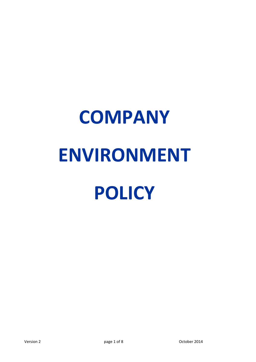# **COMPANY ENVIRONMENT POLICY**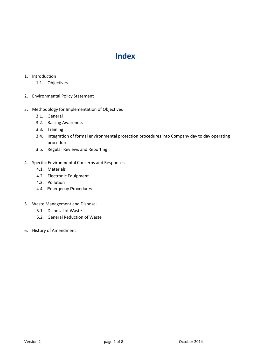## **Index**

#### 1. Introduction

- 1.1. Objectives
- 2. Environmental Policy Statement
- 3. Methodology for Implementation of Objectives
	- 3.1. General
	- 3.2. Raising Awareness
	- 3.3. Training
	- 3.4. Integration of formal environmental protection procedures into Company day to day operating procedures
	- 3.5. Regular Reviews and Reporting

### 4. Specific Environmental Concerns and Responses

- 4.1. Materials
- 4.2. Electronic Equipment
- 4.3. Pollution
- 4.4 Emergency Procedures
- 5. Waste Management and Disposal
	- 5.1. Disposal of Waste
	- 5.2. General Reduction of Waste
- 6. History of Amendment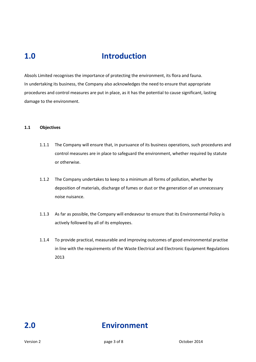## **1.0 Introduction**

Absols Limited recognises the importance of protecting the environment, its flora and fauna. In undertaking its business, the Company also acknowledges the need to ensure that appropriate procedures and control measures are put in place, as it has the potential to cause significant, lasting damage to the environment.

#### **1.1 Objectives**

- 1.1.1 The Company will ensure that, in pursuance of its business operations, such procedures and control measures are in place to safeguard the environment, whether required by statute or otherwise.
- 1.1.2 The Company undertakes to keep to a minimum all forms of pollution, whether by deposition of materials, discharge of fumes or dust or the generation of an unnecessary noise nuisance.
- 1.1.3 As far as possible, the Company will endeavour to ensure that its Environmental Policy is actively followed by all of its employees.
- 1.1.4 To provide practical, measurable and improving outcomes of good environmental practise in line with the requirements of the Waste Electrical and Electronic Equipment Regulations 2013

## **2.0 Environment**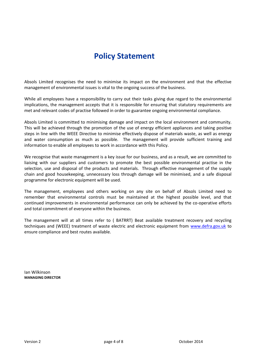## **Policy Statement**

Absols Limited recognises the need to minimise its impact on the environment and that the effective management of environmental issues is vital to the ongoing success of the business.

While all employees have a responsibility to carry out their tasks giving due regard to the environmental implications, the management accepts that it is responsible for ensuring that statutory requirements are met and relevant codes of practise followed in order to guarantee ongoing environmental compliance.

Absols Limited is committed to minimising damage and impact on the local environment and community. This will be achieved through the promotion of the use of energy efficient appliances and taking positive steps in line with the WEEE Directive to minimise effectively dispose of materials waste, as well as energy and water consumption as much as possible. The management will provide sufficient training and information to enable all employees to work in accordance with this Policy.

We recognise that waste management is a key issue for our business, and as a result, we are committed to liaising with our suppliers and customers to promote the best possible environmental practise in the selection, use and disposal of the products and materials. Through effective management of the supply chain and good housekeeping, unnecessary loss through damage will be minimised, and a safe disposal programme for electronic equipment will be used.

The management, employees and others working on any site on behalf of Absols Limited need to remember that environmental controls must be maintained at the highest possible level, and that continued improvements in environmental performance can only be achieved by the co-operative efforts and total commitment of everyone within the business.

The management will at all times refer to ( BATRRT) Beat available treatment recovery and recycling techniques and (WEEE) treatment of waste electric and electronic equipment from [www.defra.gov.uk](http://www.defra.gov.uk/) to ensure compliance and best routes available.

Ian Wilkinson **MANAGING DIRECTOR**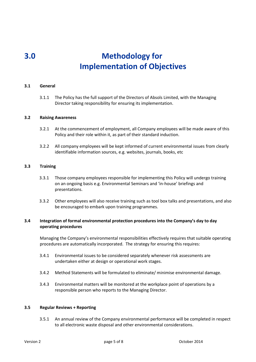## **3.0 Methodology for Implementation of Objectives**

#### **3.1 General**

3.1.1 The Policy has the full support of the Directors of Absols Limited, with the Managing Director taking responsibility for ensuring its implementation.

#### **3.2 Raising Awareness**

- 3.2.1 At the commencement of employment, all Company employees will be made aware of this Policy and their role within it, as part of their standard induction.
- 3.2.2 All company employees will be kept informed of current environmental issues from clearly identifiable information sources, e.g. websites, journals, books, etc

#### **3.3 Training**

- 3.3.1 Those company employees responsible for implementing this Policy will undergo training on an ongoing basis e.g. Environmental Seminars and 'in-house' briefings and presentations.
- 3.3.2 Other employees will also receive training such as tool box talks and presentations, and also be encouraged to embark upon training programmes.

#### **3.4 Integration of formal environmental protection procedures into the Company's day to day operating procedures**

Managing the Company's environmental responsibilities effectively requires that suitable operating procedures are automatically incorporated. The strategy for ensuring this requires:

- 3.4.1 Environmental issues to be considered separately whenever risk assessments are undertaken either at design or operational work stages.
- 3.4.2 Method Statements will be formulated to eliminate/ minimise environmental damage.
- 3.4.3 Environmental matters will be monitored at the workplace point of operations by a responsible person who reports to the Managing Director.

#### **3.5 Regular Reviews + Reporting**

3.5.1 An annual review of the Company environmental performance will be completed in respect to all electronic waste disposal and other environmental considerations.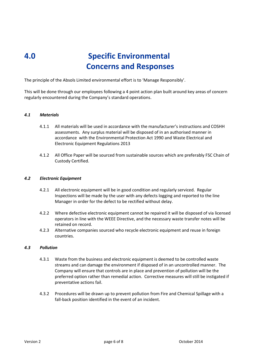## **4.0 Specific Environmental Concerns and Responses**

The principle of the Absols Limited environmental effort is to 'Manage Responsibly'.

This will be done through our employees following a 4 point action plan built around key areas of concern regularly encountered during the Company's standard operations.

#### *4.1 Materials*

- 4.1.1 All materials will be used in accordance with the manufacturer's instructions and COSHH assessments. Any surplus material will be disposed of in an authorised manner in accordance with the Environmental Protection Act 1990 and Waste Electrical and Electronic Equipment Regulations 2013
- 4.1.2 All Office Paper will be sourced from sustainable sources which are preferably FSC Chain of Custody Certified.

#### *4.2 Electronic Equipment*

- 4.2.1 All electronic equipment will be in good condition and regularly serviced. Regular Inspections will be made by the user with any defects logging and reported to the line Manager in order for the defect to be rectified without delay.
- 4.2.2 Where defective electronic equipment cannot be repaired it will be disposed of via licensed operators in line with the WEEE Directive, and the necessary waste transfer notes will be retained on record.
- 4.2.3 Alternative companies sourced who recycle electronic equipment and reuse in foreign countries.

#### *4.3 Pollution*

- 4.3.1 Waste from the business and electronic equipment is deemed to be controlled waste streams and can damage the environment if disposed of in an uncontrolled manner. The Company will ensure that controls are in place and prevention of pollution will be the preferred option rather than remedial action. Corrective measures will still be instigated if preventative actions fail.
- 4.3.2 Procedures will be drawn up to prevent pollution from Fire and Chemical Spillage with a fall-back position identified in the event of an incident.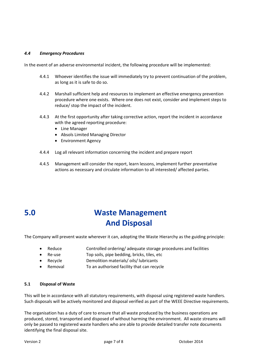#### *4.4 Emergency Procedures*

In the event of an adverse environmental incident, the following procedure will be implemented:

- 4.4.1 Whoever identifies the issue will immediately try to prevent continuation of the problem, as long as it is safe to do so.
- 4.4.2 Marshall sufficient help and resources to implement an effective emergency prevention procedure where one exists. Where one does not exist, consider and implement steps to reduce/ stop the impact of the incident.
- 4.4.3 At the first opportunity after taking corrective action, report the incident in accordance with the agreed reporting procedure:
	- Line Manager
	- Absols Limited Managing Director
	- Environment Agency
- 4.4.4 Log all relevant information concerning the incident and prepare report
- 4.4.5 Management will consider the report, learn lessons, implement further preventative actions as necessary and circulate information to all interested/ affected parties.

## **5.0 Waste Management And Disposal**

The Company will prevent waste wherever it can, adopting the Waste Hierarchy as the guiding principle:

- Reduce Controlled ordering/ adequate storage procedures and facilities
- Re-use Top soils, pipe bedding, bricks, tiles, etc
- Recycle Demolition materials/ oils/ lubricants
- Removal To an authorised facility that can recycle

#### **5.1 Disposal of Waste**

This will be in accordance with all statutory requirements, with disposal using registered waste handlers. Such disposals will be actively monitored and disposal verified as part of the WEEE Directive requirements.

The organisation has a duty of care to ensure that all waste produced by the business operations are produced, stored, transported and disposed of without harming the environment. All waste streams will only be passed to registered waste handlers who are able to provide detailed transfer note documents identifying the final disposal site.